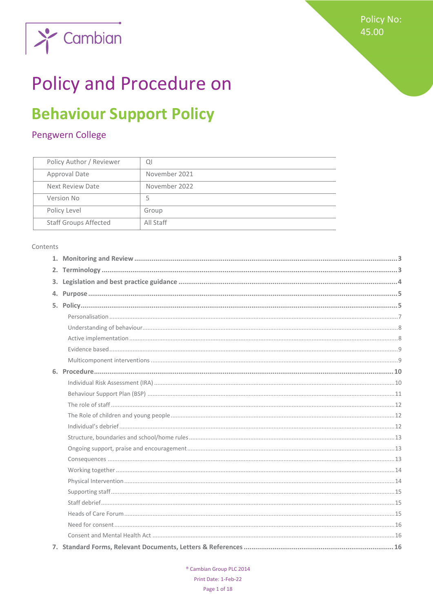

# **Policy and Procedure on**

# **Behaviour Support Policy**

# Pengwern College

| Policy Author / Reviewer     | Q             |
|------------------------------|---------------|
| Approval Date                | November 2021 |
| Next Review Date             | November 2022 |
| Version No                   | 5             |
| Policy Level                 | Group         |
| <b>Staff Groups Affected</b> | All Staff     |

#### Contents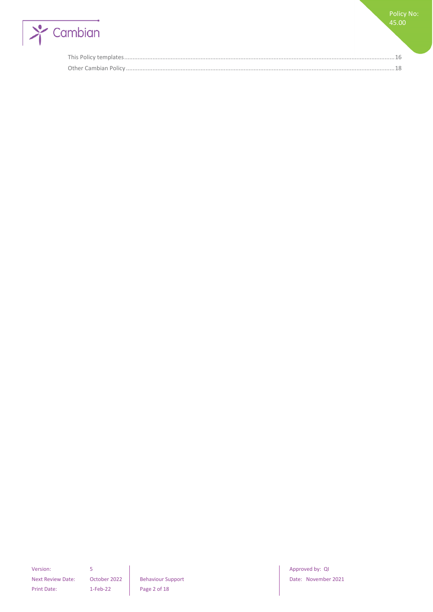

Version: 5 **S Approved by: QI Approved by: QI Approved by: QI** Next Review Date: October 2022 | Behaviour Support | Date: November 2021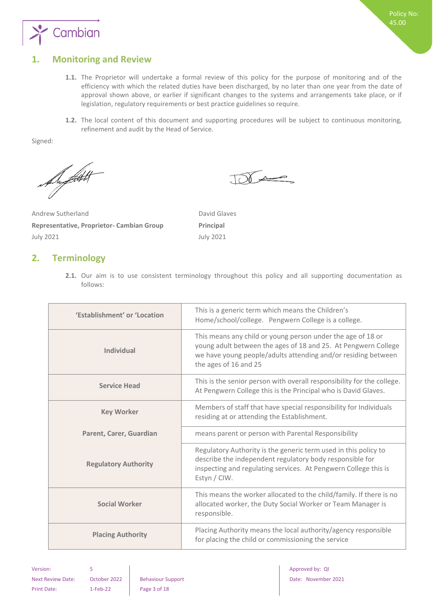

# <span id="page-2-0"></span>**1. Monitoring and Review**

- **1.1.** The Proprietor will undertake a formal review of this policy for the purpose of monitoring and of the efficiency with which the related duties have been discharged, by no later than one year from the date of approval shown above, or earlier if significant changes to the systems and arrangements take place, or if legislation, regulatory requirements or best practice guidelines so require.
- **1.2.** The local content of this document and supporting procedures will be subject to continuous monitoring, refinement and audit by the Head of Service.

 $\sqrt{2}$ 

Signed:

Support

Andrew Sutherland David Glaves **Representative, Proprietor- Cambian Group Principal** July 2021 July 2021

# <span id="page-2-1"></span>**2. Terminology**

**2.1.** Our aim is to use consistent terminology throughout this policy and all supporting documentation as follows:

| 'Establishment' or 'Location | This is a generic term which means the Children's<br>Home/school/college. Pengwern College is a college.                                                                                                                |  |
|------------------------------|-------------------------------------------------------------------------------------------------------------------------------------------------------------------------------------------------------------------------|--|
| Individual                   | This means any child or young person under the age of 18 or<br>young adult between the ages of 18 and 25. At Pengwern College<br>we have young people/adults attending and/or residing between<br>the ages of 16 and 25 |  |
| <b>Service Head</b>          | This is the senior person with overall responsibility for the college.<br>At Pengwern College this is the Principal who is David Glaves.                                                                                |  |
| <b>Key Worker</b>            | Members of staff that have special responsibility for Individuals<br>residing at or attending the Establishment.                                                                                                        |  |
| Parent, Carer, Guardian      | means parent or person with Parental Responsibility                                                                                                                                                                     |  |
| <b>Regulatory Authority</b>  | Regulatory Authority is the generic term used in this policy to<br>describe the independent regulatory body responsible for<br>inspecting and regulating services. At Pengwern College this is<br>Estyn / CIW.          |  |
| <b>Social Worker</b>         | This means the worker allocated to the child/family. If there is no<br>allocated worker, the Duty Social Worker or Team Manager is<br>responsible.                                                                      |  |
| <b>Placing Authority</b>     | Placing Authority means the local authority/agency responsible<br>for placing the child or commissioning the service                                                                                                    |  |

Print Date: 1-Feb-22 Page 3 of 18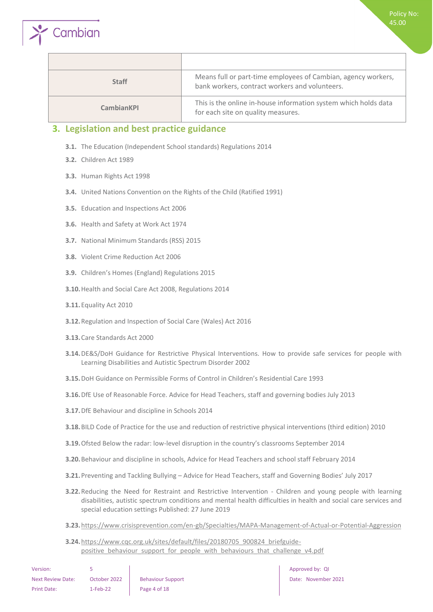

| <b>Staff</b> | Means full or part-time employees of Cambian, agency workers,<br>bank workers, contract workers and volunteers. |
|--------------|-----------------------------------------------------------------------------------------------------------------|
| CambianKPI   | This is the online in-house information system which holds data<br>for each site on quality measures.           |

### <span id="page-3-0"></span>**3. Legislation and best practice guidance**

- **3.1.** The Education (Independent School standards) Regulations 2014
- **3.2.** Children Act 1989

Cambian

- **3.3.** Human Rights Act 1998
- **3.4.** United Nations Convention on the Rights of the Child (Ratified 1991)
- **3.5.** Education and Inspections Act 2006
- **3.6.** Health and Safety at Work Act 1974
- **3.7.** National Minimum Standards (RSS) 2015
- **3.8.** Violent Crime Reduction Act 2006
- **3.9.** Children's Homes (England) Regulations 2015
- **3.10.**Health and Social Care Act 2008, Regulations 2014
- **3.11.**Equality Act 2010
- **3.12.**[Regulation and Inspection of Social Care \(Wales\) Act 2016](http://www.senedd.assembly.wales/mgIssueHistoryHome.aspx?IId=12110)
- **3.13.**Care Standards Act 2000
- **3.14.**DE&S/DoH Guidance for Restrictive Physical Interventions. How to provide safe services for people with Learning Disabilities and Autistic Spectrum Disorder 2002
- **3.15.**DoH Guidance on Permissible Forms of Control in Children's Residential Care 1993
- **3.16.**DfE Use of Reasonable Force. Advice for Head Teachers, staff and governing bodies July 2013
- **3.17.**DfE Behaviour and discipline in Schools 2014
- **3.18.**BILD Code of Practice for the use and reduction of restrictive physical interventions (third edition) 2010
- **3.19.**Ofsted Below the radar: low-level disruption in the country's classrooms September 2014
- **3.20.**Behaviour and discipline in schools, Advice for Head Teachers and school staff February 2014
- **3.21.**Preventing and Tackling Bullying Advice for Head Teachers, staff and Governing Bodies' July 2017
- **3.22.**Reducing the Need for Restraint and Restrictive Intervention Children and young people with learning disabilities, autistic spectrum conditions and mental health difficulties in health and social care services and special education settings Published: 27 June 2019
- **3.23.**<https://www.crisisprevention.com/en-gb/Specialties/MAPA-Management-of-Actual-or-Potential-Aggression>
- **3.24.**[https://www.cqc.org.uk/sites/default/files/20180705\\_900824\\_briefguide](https://www.cqc.org.uk/sites/default/files/20180705_900824_briefguide-positive_behaviour_support_for_people_with_behaviours_that_challenge_v4.pdf)positive behaviour support for people with behaviours that challenge v4.pdf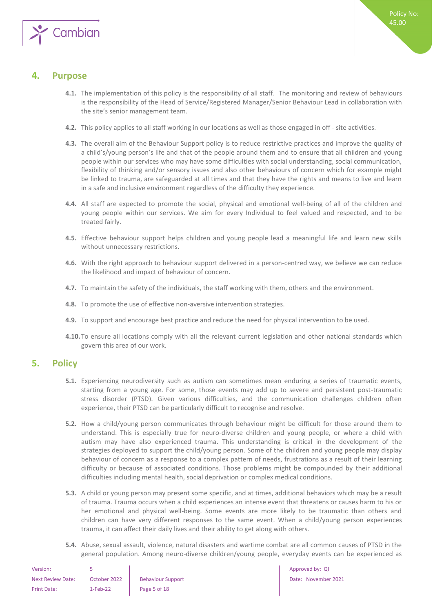

# <span id="page-4-0"></span>**4. Purpose**

- **4.1.** The implementation of this policy is the responsibility of all staff. The monitoring and review of behaviours is the responsibility of the Head of Service/Registered Manager/Senior Behaviour Lead in collaboration with the site's senior management team.
- **4.2.** This policy applies to all staff working in our locations as well as those engaged in off site activities.
- **4.3.** The overall aim of the Behaviour Support policy is to reduce restrictive practices and improve the quality of a child's/young person's life and that of the people around them and to ensure that all children and young people within our services who may have some difficulties with social understanding, social communication, flexibility of thinking and/or sensory issues and also other behaviours of concern which for example might be linked to trauma, are safeguarded at all times and that they have the rights and means to live and learn in a safe and inclusive environment regardless of the difficulty they experience.
- **4.4.** All staff are expected to promote the social, physical and emotional well-being of all of the children and young people within our services. We aim for every Individual to feel valued and respected, and to be treated fairly.
- **4.5.** Effective behaviour support helps children and young people lead a meaningful life and learn new skills without unnecessary restrictions.
- **4.6.** With the right approach to behaviour support delivered in a person-centred way, we believe we can reduce the likelihood and impact of behaviour of concern.
- **4.7.** To maintain the safety of the individuals, the staff working with them, others and the environment.
- **4.8.** To promote the use of effective non-aversive intervention strategies.
- **4.9.** To support and encourage best practice and reduce the need for physical intervention to be used.
- **4.10.**To ensure all locations comply with all the relevant current legislation and other national standards which govern this area of our work.

## <span id="page-4-1"></span>**5. Policy**

- **5.1.** Experiencing neurodiversity such as autism can sometimes mean enduring a series of traumatic events, starting from a young age. For some, those events may add up to severe and persistent post-traumatic stress disorder (PTSD). Given various difficulties, and the communication challenges children often experience, their PTSD can be particularly difficult to recognise and resolve.
- **5.2.** How a child/young person communicates through behaviour might be difficult for those around them to understand. This is especially true for neuro-diverse children and young people, or where a child with autism may have also experienced trauma. This understanding is critical in the development of the strategies deployed to support the child/young person. Some of the children and young people may display behaviour of concern as a response to a complex pattern of needs, frustrations as a result of their learning difficulty or because of associated conditions. Those problems might be compounded by their additional difficulties including mental health, social deprivation or complex medical conditions.
- **5.3.** A child or young person may present some specific, and at times, additional behaviors which may be a result of trauma. Trauma occurs when a child experiences an intense event that threatens or causes harm to his or her emotional and physical well-being. Some events are more likely to be traumatic than others and children can have very different responses to the same event. When a child/young person experiences trauma, it can affect their daily lives and their ability to get along with others.
- **5.4.** Abuse, sexual assault, violence, natural disasters and wartime combat are all common causes of PTSD in the general population. Among neuro-diverse children/young people, everyday events can be experienced as

| Version:                 |              |                          |
|--------------------------|--------------|--------------------------|
| <b>Next Review Date:</b> | October 2022 | <b>Behaviour Support</b> |
| Print Date:              | $1-Feb-22$   | Page 5 of 18             |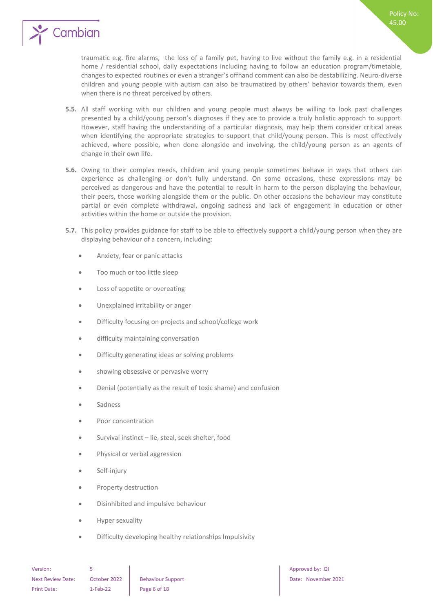

- **5.5.** All staff working with our children and young people must always be willing to look past challenges presented by a child/young person's diagnoses if they are to provide a truly holistic approach to support. However, staff having the understanding of a particular diagnosis, may help them consider critical areas when identifying the appropriate strategies to support that child/young person. This is most effectively achieved, where possible, when done alongside and involving, the child/young person as an agents of change in their own life.
- **5.6.** Owing to their complex needs, children and young people sometimes behave in ways that others can experience as challenging or don't fully understand. On some occasions, these expressions may be perceived as dangerous and have the potential to result in harm to the person displaying the behaviour, their peers, those working alongside them or the public. On other occasions the behaviour may constitute partial or even complete withdrawal, ongoing sadness and lack of engagement in education or other activities within the home or outside the provision.
- **5.7.** This policy provides guidance for staff to be able to effectively support a child/young person when they are displaying behaviour of a concern, including:
	- Anxiety, fear or panic attacks
	- Too much or too little sleep
	- Loss of appetite or overeating
	- Unexplained irritability or anger
	- Difficulty focusing on projects and school/college work
	- difficulty maintaining conversation
	- Difficulty generating ideas or solving problems
	- showing obsessive or pervasive worry
	- Denial (potentially as the result of toxic shame) and confusion
	- Sadness
	- Poor concentration
	- Survival instinct lie, steal, seek shelter, food
	- Physical or verbal aggression
	- Self-injury
	- Property destruction
	- Disinhibited and impulsive behaviour
	- Hyper sexuality
	- Difficulty developing healthy relationships Impulsivity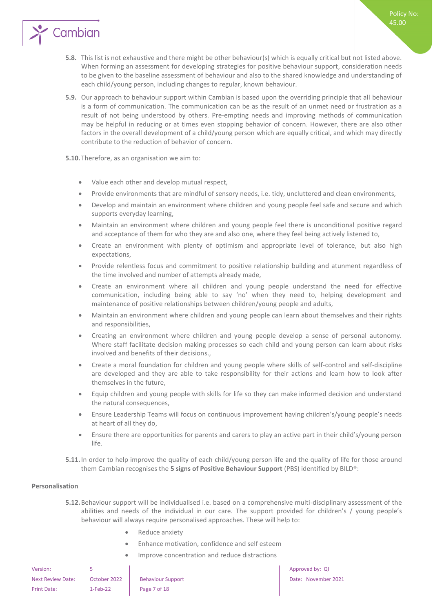**5.8.** This list is not exhaustive and there might be other behaviour(s) which is equally critical but not listed above. When forming an assessment for developing strategies for positive behaviour support, consideration needs to be given to the baseline assessment of behaviour and also to the shared knowledge and understanding of each child/young person, including changes to regular, known behaviour.

Policy No: 45.00

**5.9.** Our approach to behaviour support within Cambian is based upon the overriding principle that all behaviour is a form of communication. The communication can be as the result of an unmet need or frustration as a result of not being understood by others. Pre-empting needs and improving methods of communication may be helpful in reducing or at times even stopping behavior of concern. However, there are also other factors in the overall development of a child/young person which are equally critical, and which may directly contribute to the reduction of behavior of concern.

**5.10.**Therefore, as an organisation we aim to:

Cambian

- Value each other and develop mutual respect,
- Provide environments that are mindful of sensory needs, i.e. tidy, uncluttered and clean environments,
- Develop and maintain an environment where children and young people feel safe and secure and which supports everyday learning,
- Maintain an environment where children and young people feel there is unconditional positive regard and acceptance of them for who they are and also one, where they feel being actively listened to,
- Create an environment with plenty of optimism and appropriate level of tolerance, but also high expectations,
- Provide relentless focus and commitment to positive relationship building and atunment regardless of the time involved and number of attempts already made,
- Create an environment where all children and young people understand the need for effective communication, including being able to say 'no' when they need to, helping development and maintenance of positive relationships between children/young people and adults,
- Maintain an environment where children and young people can learn about themselves and their rights and responsibilities,
- Creating an environment where children and young people develop a sense of personal autonomy. Where staff facilitate decision making processes so each child and young person can learn about risks involved and benefits of their decisions.,
- Create a moral foundation for children and young people where skills of self-control and self-discipline are developed and they are able to take responsibility for their actions and learn how to look after themselves in the future,
- Equip children and young people with skills for life so they can make informed decision and understand the natural consequences,
- Ensure Leadership Teams will focus on continuous improvement having children's/young people's needs at heart of all they do,
- Ensure there are opportunities for parents and carers to play an active part in their child's/young person life.
- **5.11.**In order to help improve the quality of each child/young person life and the quality of life for those around them Cambian recognises the **5 signs of Positive Behaviour Support** (PBS) identified by BILD®:

#### <span id="page-6-0"></span>**Personalisation**

- **5.12.**Behaviour support will be individualised i.e. based on a comprehensive multi-disciplinary assessment of the abilities and needs of the individual in our care. The support provided for children's / young people's behaviour will always require personalised approaches. These will help to:
	- Reduce anxiety
	- Enhance motivation, confidence and self esteem
	- Improve concentration and reduce distractions

| Version:                 |              |                          |
|--------------------------|--------------|--------------------------|
| <b>Next Review Date:</b> | October 2022 | <b>Behaviour Support</b> |
| <b>Print Date:</b>       | $1-Feb-22$   | Page 7 of 18             |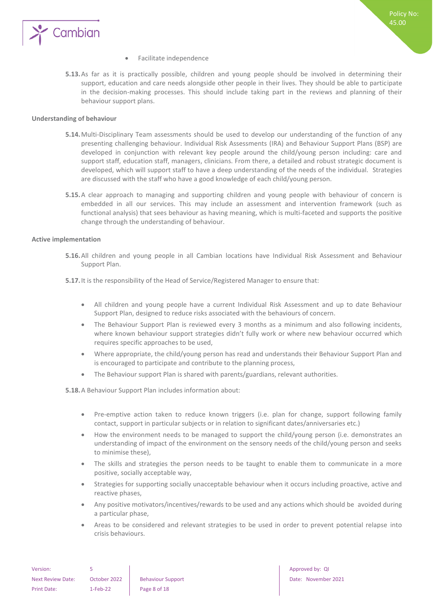

- Facilitate independence
- **5.13.**As far as it is practically possible, children and young people should be involved in determining their support, education and care needs alongside other people in their lives. They should be able to participate in the decision-making processes. This should include taking part in the reviews and planning of their behaviour support plans.

#### <span id="page-7-0"></span>**Understanding of behaviour**

- **5.14.**Multi-Disciplinary Team assessments should be used to develop our understanding of the function of any presenting challenging behaviour. Individual Risk Assessments (IRA) and Behaviour Support Plans (BSP) are developed in conjunction with relevant key people around the child/young person including: care and support staff, education staff, managers, clinicians. From there, a detailed and robust strategic document is developed, which will support staff to have a deep understanding of the needs of the individual. Strategies are discussed with the staff who have a good knowledge of each child/young person.
- **5.15.**A clear approach to managing and supporting children and young people with behaviour of concern is embedded in all our services. This may include an assessment and intervention framework (such as functional analysis) that sees behaviour as having meaning, which is multi-faceted and supports the positive change through the understanding of behaviour.

#### <span id="page-7-1"></span>**Active implementation**

**5.16.**All children and young people in all Cambian locations have Individual Risk Assessment and Behaviour Support Plan.

**5.17.**It is the responsibility of the Head of Service/Registered Manager to ensure that:

- All children and young people have a current Individual Risk Assessment and up to date Behaviour Support Plan, designed to reduce risks associated with the behaviours of concern.
- The Behaviour Support Plan is reviewed every 3 months as a minimum and also following incidents, where known behaviour support strategies didn't fully work or where new behaviour occurred which requires specific approaches to be used,
- Where appropriate, the child/young person has read and understands their Behaviour Support Plan and is encouraged to participate and contribute to the planning process,
- The Behaviour support Plan is shared with parents/guardians, relevant authorities.

**5.18.**A Behaviour Support Plan includes information about:

- Pre-emptive action taken to reduce known triggers (i.e. plan for change, support following family contact, support in particular subjects or in relation to significant dates/anniversaries etc.)
- How the environment needs to be managed to support the child/young person (i.e. demonstrates an understanding of impact of the environment on the sensory needs of the child/young person and seeks to minimise these),
- The skills and strategies the person needs to be taught to enable them to communicate in a more positive, socially acceptable way,
- Strategies for supporting socially unacceptable behaviour when it occurs including proactive, active and reactive phases,
- Any positive motivators/incentives/rewards to be used and any actions which should be avoided during a particular phase,
- Areas to be considered and relevant strategies to be used in order to prevent potential relapse into crisis behaviours.

| Version:           |              |              |
|--------------------|--------------|--------------|
| Next Review Date:  | October 2022 | <b>Behay</b> |
| <b>Print Date:</b> | $1-Feb-22$   | Page         |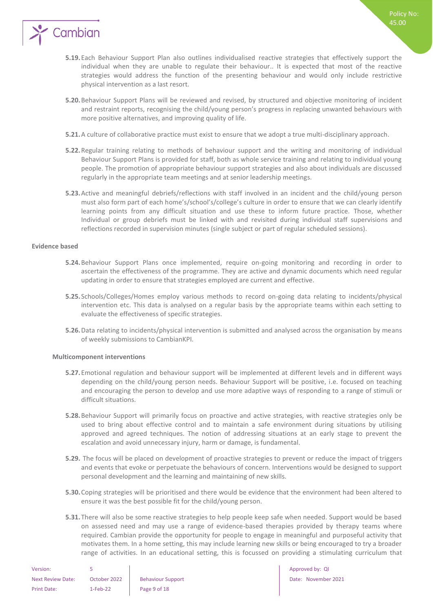

- **5.19.**Each Behaviour Support Plan also outlines individualised reactive strategies that effectively support the individual when they are unable to regulate their behaviour.. It is expected that most of the reactive strategies would address the function of the presenting behaviour and would only include restrictive physical intervention as a last resort.
- **5.20.**Behaviour Support Plans will be reviewed and revised, by structured and objective monitoring of incident and restraint reports, recognising the child/young person's progress in replacing unwanted behaviours with more positive alternatives, and improving quality of life.
- **5.21.**A culture of collaborative practice must exist to ensure that we adopt a true multi-disciplinary approach.
- **5.22.**Regular training relating to methods of behaviour support and the writing and monitoring of individual Behaviour Support Plans is provided for staff, both as whole service training and relating to individual young people. The promotion of appropriate behaviour support strategies and also about individuals are discussed regularly in the appropriate team meetings and at senior leadership meetings.
- **5.23.**Active and meaningful debriefs/reflections with staff involved in an incident and the child/young person must also form part of each home's/school's/college's culture in order to ensure that we can clearly identify learning points from any difficult situation and use these to inform future practice. Those, whether Individual or group debriefs must be linked with and revisited during individual staff supervisions and reflections recorded in supervision minutes (single subject or part of regular scheduled sessions).

#### <span id="page-8-0"></span>**Evidence based**

- **5.24.**Behaviour Support Plans once implemented, require on-going monitoring and recording in order to ascertain the effectiveness of the programme. They are active and dynamic documents which need regular updating in order to ensure that strategies employed are current and effective.
- **5.25.** Schools/Colleges/Homes employ various methods to record on-going data relating to incidents/physical intervention etc. This data is analysed on a regular basis by the appropriate teams within each setting to evaluate the effectiveness of specific strategies.
- **5.26.**Data relating to incidents/physical intervention is submitted and analysed across the organisation by means of weekly submissions to CambianKPI.

#### <span id="page-8-1"></span>**Multicomponent interventions**

- **5.27.**Emotional regulation and behaviour support will be implemented at different levels and in different ways depending on the child/young person needs. Behaviour Support will be positive, i.e. focused on teaching and encouraging the person to develop and use more adaptive ways of responding to a range of stimuli or difficult situations.
- **5.28.**Behaviour Support will primarily focus on proactive and active strategies, with reactive strategies only be used to bring about effective control and to maintain a safe environment during situations by utilising approved and agreed techniques. The notion of addressing situations at an early stage to prevent the escalation and avoid unnecessary injury, harm or damage, is fundamental.
- **5.29.** The focus will be placed on development of proactive strategies to prevent or reduce the impact of triggers and events that evoke or perpetuate the behaviours of concern. Interventions would be designed to support personal development and the learning and maintaining of new skills.
- **5.30.**Coping strategies will be prioritised and there would be evidence that the environment had been altered to ensure it was the best possible fit for the child/young person.
- **5.31.**There will also be some reactive strategies to help people keep safe when needed. Support would be based on assessed need and may use a range of evidence-based therapies provided by therapy teams where required. Cambian provide the opportunity for people to engage in meaningful and purposeful activity that motivates them. In a home setting, this may include learning new skills or being encouraged to try a broader range of activities. In an educational setting, this is focussed on providing a stimulating curriculum that

| Version:                 |              |                         |
|--------------------------|--------------|-------------------------|
| <b>Next Review Date:</b> | October 2022 | <b>Behaviour Suppor</b> |
| Print Date:              | $1-Feb-22$   | Page 9 of 18            |

Approved by: QI next Review Date: November 2021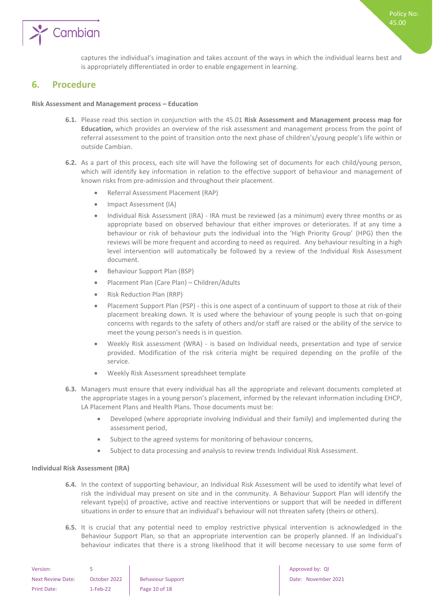

captures the individual's imagination and takes account of the ways in which the individual learns best and is appropriately differentiated in order to enable engagement in learning.

### <span id="page-9-0"></span>**6. Procedure**

#### **Risk Assessment and Management process – Education**

- **6.1.** Please read this section in conjunction with the 45.01 **Risk Assessment and Management process map for Education,** which provides an overview of the risk assessment and management process from the point of referral assessment to the point of transition onto the next phase of children's/young people's life within or outside Cambian.
- **6.2.** As a part of this process, each site will have the following set of documents for each child/young person, which will identify key information in relation to the effective support of behaviour and management of known risks from pre-admission and throughout their placement.
	- Referral Assessment Placement (RAP)
	- Impact Assessment (IA)
	- Individual Risk Assessment (IRA) IRA must be reviewed (as a minimum) every three months or as appropriate based on observed behaviour that either improves or deteriorates. If at any time a behaviour or risk of behaviour puts the individual into the 'High Priority Group' (HPG) then the reviews will be more frequent and according to need as required. Any behaviour resulting in a high level intervention will automatically be followed by a review of the Individual Risk Assessment document.
	- Behaviour Support Plan (BSP)
	- Placement Plan (Care Plan) Children/Adults
	- Risk Reduction Plan (RRP)
	- Placement Support Plan (PSP) this is one aspect of a continuum of support to those at risk of their placement breaking down. It is used where the behaviour of young people is such that on-going concerns with regards to the safety of others and/or staff are raised or the ability of the service to meet the young person's needs is in question.
	- Weekly Risk assessment (WRA) is based on Individual needs, presentation and type of service provided. Modification of the risk criteria might be required depending on the profile of the service.
	- Weekly Risk Assessment spreadsheet template
- **6.3.** Managers must ensure that every individual has all the appropriate and relevant documents completed at the appropriate stages in a young person's placement, informed by the relevant information including EHCP, LA Placement Plans and Health Plans. Those documents must be:
	- Developed (where appropriate involving Individual and their family) and implemented during the assessment period,
	- Subject to the agreed systems for monitoring of behaviour concerns,
	- Subject to data processing and analysis to review trends Individual Risk Assessment.

#### <span id="page-9-1"></span>**Individual Risk Assessment (IRA)**

- **6.4.** In the context of supporting behaviour, an Individual Risk Assessment will be used to identify what level of risk the individual may present on site and in the community. A Behaviour Support Plan will identify the relevant type(s) of proactive, active and reactive interventions or support that will be needed in different situations in order to ensure that an individual's behaviour will not threaten safety (theirs or others).
- **6.5.** It is crucial that any potential need to employ restrictive physical intervention is acknowledged in the Behaviour Support Plan, so that an appropriate intervention can be properly planned. If an Individual's behaviour indicates that there is a strong likelihood that it will become necessary to use some form of

| Version:                 |              |                          |
|--------------------------|--------------|--------------------------|
| <b>Next Review Date:</b> | October 2022 | <b>Behaviour Support</b> |
| Print Date:              | $1-Feb-22$   | Page 10 of 18            |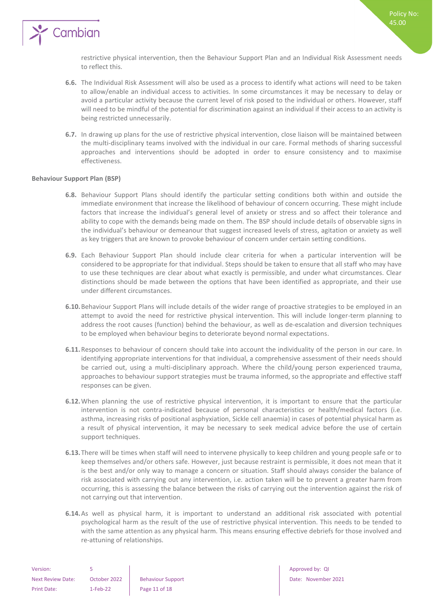

restrictive physical intervention, then the Behaviour Support Plan and an Individual Risk Assessment needs to reflect this.

- **6.6.** The Individual Risk Assessment will also be used as a process to identify what actions will need to be taken to allow/enable an individual access to activities. In some circumstances it may be necessary to delay or avoid a particular activity because the current level of risk posed to the individual or others. However, staff will need to be mindful of the potential for discrimination against an individual if their access to an activity is being restricted unnecessarily.
- **6.7.** In drawing up plans for the use of restrictive physical intervention, close liaison will be maintained between the multi-disciplinary teams involved with the individual in our care. Formal methods of sharing successful approaches and interventions should be adopted in order to ensure consistency and to maximise effectiveness.

#### <span id="page-10-0"></span>**Behaviour Support Plan (BSP)**

- **6.8.** Behaviour Support Plans should identify the particular setting conditions both within and outside the immediate environment that increase the likelihood of behaviour of concern occurring. These might include factors that increase the individual's general level of anxiety or stress and so affect their tolerance and ability to cope with the demands being made on them. The BSP should include details of observable signs in the individual's behaviour or demeanour that suggest increased levels of stress, agitation or anxiety as well as key triggers that are known to provoke behaviour of concern under certain setting conditions.
- **6.9.** Each Behaviour Support Plan should include clear criteria for when a particular intervention will be considered to be appropriate for that individual. Steps should be taken to ensure that all staff who may have to use these techniques are clear about what exactly is permissible, and under what circumstances. Clear distinctions should be made between the options that have been identified as appropriate, and their use under different circumstances.
- **6.10.**Behaviour Support Plans will include details of the wider range of proactive strategies to be employed in an attempt to avoid the need for restrictive physical intervention. This will include longer-term planning to address the root causes (function) behind the behaviour, as well as de-escalation and diversion techniques to be employed when behaviour begins to deteriorate beyond normal expectations.
- **6.11.**Responses to behaviour of concern should take into account the individuality of the person in our care. In identifying appropriate interventions for that individual, a comprehensive assessment of their needs should be carried out, using a multi-disciplinary approach. Where the child/young person experienced trauma, approaches to behaviour support strategies must be trauma informed, so the appropriate and effective staff responses can be given.
- **6.12.**When planning the use of restrictive physical intervention, it is important to ensure that the particular intervention is not contra-indicated because of personal characteristics or health/medical factors (i.e. asthma, increasing risks of positional asphyxiation, Sickle cell anaemia) in cases of potential physical harm as a result of physical intervention, it may be necessary to seek medical advice before the use of certain support techniques.
- **6.13.**There will be times when staff will need to intervene physically to keep children and young people safe or to keep themselves and/or others safe. However, just because restraint is permissible, it does not mean that it is the best and/or only way to manage a concern or situation. Staff should always consider the balance of risk associated with carrying out any intervention, i.e. action taken will be to prevent a greater harm from occurring, this is assessing the balance between the risks of carrying out the intervention against the risk of not carrying out that intervention.
- **6.14.**As well as physical harm, it is important to understand an additional risk associated with potential psychological harm as the result of the use of restrictive physical intervention. This needs to be tended to with the same attention as any physical harm. This means ensuring effective debriefs for those involved and re-attuning of relationships.

| Version:                 |              |                      |
|--------------------------|--------------|----------------------|
| <b>Next Review Date:</b> | October 2022 | <b>Behaviour Sup</b> |
| <b>Print Date:</b>       | $1-Feb-22$   | Page 11 of 18        |

Approved by: QI next Review Date: November 2021 Policy No: 45.00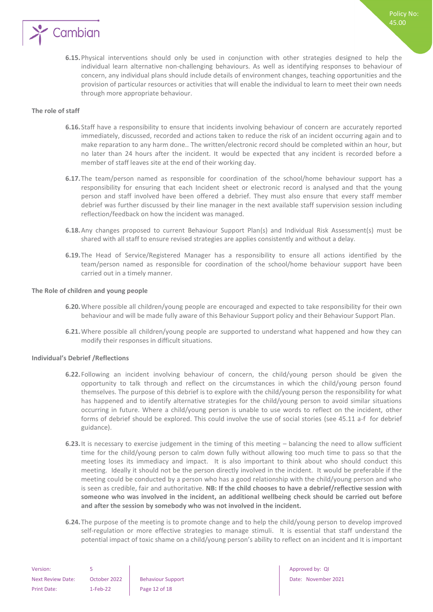

#### <span id="page-11-0"></span>**The role of staff**

- **6.16.** Staff have a responsibility to ensure that incidents involving behaviour of concern are accurately reported immediately, discussed, recorded and actions taken to reduce the risk of an incident occurring again and to make reparation to any harm done.. The written/electronic record should be completed within an hour, but no later than 24 hours after the incident. It would be expected that any incident is recorded before a member of staff leaves site at the end of their working day.
- **6.17.**The team/person named as responsible for coordination of the school/home behaviour support has a responsibility for ensuring that each Incident sheet or electronic record is analysed and that the young person and staff involved have been offered a debrief. They must also ensure that every staff member debrief was further discussed by their line manager in the next available staff supervision session including reflection/feedback on how the incident was managed.
- **6.18.**Any changes proposed to current Behaviour Support Plan(s) and Individual Risk Assessment(s) must be shared with all staff to ensure revised strategies are applies consistently and without a delay.
- **6.19.**The Head of Service/Registered Manager has a responsibility to ensure all actions identified by the team/person named as responsible for coordination of the school/home behaviour support have been carried out in a timely manner.

#### <span id="page-11-1"></span>**The Role of children and young people**

- **6.20.**Where possible all children/young people are encouraged and expected to take responsibility for their own behaviour and will be made fully aware of this Behaviour Support policy and their Behaviour Support Plan.
- **6.21.**Where possible all children/young people are supported to understand what happened and how they can modify their responses in difficult situations.

#### <span id="page-11-2"></span>**Individual's Debrief /Reflections**

- **6.22.** Following an incident involving behaviour of concern, the child/young person should be given the opportunity to talk through and reflect on the circumstances in which the child/young person found themselves. The purpose of this debrief is to explore with the child/young person the responsibility for what has happened and to identify alternative strategies for the child/young person to avoid similar situations occurring in future. Where a child/young person is unable to use words to reflect on the incident, other forms of debrief should be explored. This could involve the use of social stories (see 45.11 a-f for debrief guidance).
- **6.23.**It is necessary to exercise judgement in the timing of this meeting balancing the need to allow sufficient time for the child/young person to calm down fully without allowing too much time to pass so that the meeting loses its immediacy and impact. It is also important to think about who should conduct this meeting. Ideally it should not be the person directly involved in the incident. It would be preferable if the meeting could be conducted by a person who has a good relationship with the child/young person and who is seen as credible, fair and authoritative. **NB: If the child chooses to have a debrief/reflective session with someone who was involved in the incident, an additional wellbeing check should be carried out before and after the session by somebody who was not involved in the incident.**
- **6.24.**The purpose of the meeting is to promote change and to help the child/young person to develop improved self-regulation or more effective strategies to manage stimuli. It is essential that staff understand the potential impact of toxic shame on a child/young person's ability to reflect on an incident and It is important

| Version:                 |              |                      |
|--------------------------|--------------|----------------------|
| <b>Next Review Date:</b> | October 2022 | <b>Behaviour Sup</b> |
| <b>Print Date:</b>       | $1-Feb-22$   | Page 12 of 18        |

Approved by: QI Support **Behaviour Community Date: November 2021**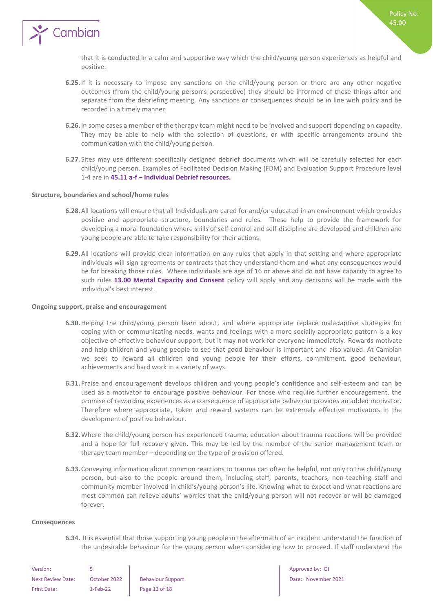

that it is conducted in a calm and supportive way which the child/young person experiences as helpful and positive.

- **6.25.**If it is necessary to impose any sanctions on the child/young person or there are any other negative outcomes (from the child/young person's perspective) they should be informed of these things after and separate from the debriefing meeting. Any sanctions or consequences should be in line with policy and be recorded in a timely manner.
- **6.26.**In some cases a member of the therapy team might need to be involved and support depending on capacity. They may be able to help with the selection of questions, or with specific arrangements around the communication with the child/young person.
- **6.27.** Sites may use different specifically designed debrief documents which will be carefully selected for each child/young person. Examples of Facilitated Decision Making (FDM) and Evaluation Support Procedure level 1-4 are in **45.11 a-f – Individual Debrief resources.**

#### <span id="page-12-0"></span>**Structure, boundaries and school/home rules**

- **6.28.**All locations will ensure that all Individuals are cared for and/or educated in an environment which provides positive and appropriate structure, boundaries and rules. These help to provide the framework for developing a moral foundation where skills of self-control and self-discipline are developed and children and young people are able to take responsibility for their actions.
- **6.29.**All locations will provide clear information on any rules that apply in that setting and where appropriate individuals will sign agreements or contracts that they understand them and what any consequences would be for breaking those rules. Where individuals are age of 16 or above and do not have capacity to agree to such rules **13.00 Mental Capacity and Consent** policy will apply and any decisions will be made with the individual's best interest.

#### <span id="page-12-1"></span>**Ongoing support, praise and encouragement**

- **6.30.**Helping the child/young person learn about, and where appropriate replace maladaptive strategies for coping with or communicating needs, wants and feelings with a more socially appropriate pattern is a key objective of effective behaviour support, but it may not work for everyone immediately. Rewards motivate and help children and young people to see that good behaviour is important and also valued. At Cambian we seek to reward all children and young people for their efforts, commitment, good behaviour, achievements and hard work in a variety of ways.
- **6.31.**Praise and encouragement develops children and young people's confidence and self-esteem and can be used as a motivator to encourage positive behaviour. For those who require further encouragement, the promise of rewarding experiences as a consequence of appropriate behaviour provides an added motivator. Therefore where appropriate, token and reward systems can be extremely effective motivators in the development of positive behaviour.
- **6.32.**Where the child/young person has experienced trauma, education about trauma reactions will be provided and a hope for full recovery given. This may be led by the member of the senior management team or therapy team member – depending on the type of provision offered.
- **6.33.**Conveying information about common reactions to trauma can often be helpful, not only to the child/young person, but also to the people around them, including staff, parents, teachers, non-teaching staff and community member involved in child's/young person's life. Knowing what to expect and what reactions are most common can relieve adults' worries that the child/young person will not recover or will be damaged forever.

#### <span id="page-12-2"></span>**Consequences**

**6.34.** It is essential that those supporting young people in the aftermath of an incident understand the function of the undesirable behaviour for the young person when considering how to proceed. If staff understand the

| Version:                 |              |                      |
|--------------------------|--------------|----------------------|
| <b>Next Review Date:</b> | October 2022 | <b>Behaviour Sup</b> |
| Print Date:              | $1-Feb-22$   | Page 13 of 18        |

Approved by: QI next Review Date: November 2021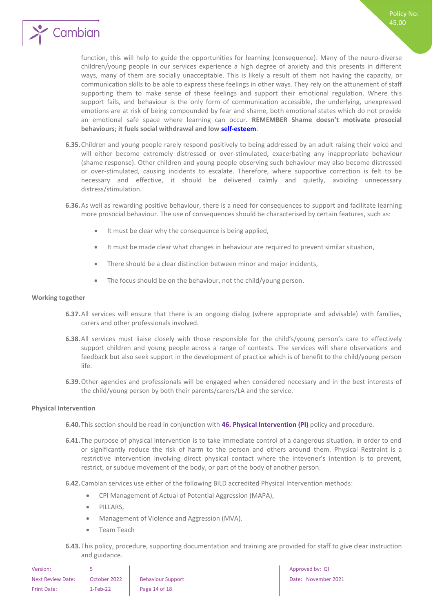

function, this will help to guide the opportunities for learning (consequence). Many of the neuro-diverse children/young people in our services experience a high degree of anxiety and this presents in different ways, many of them are socially unacceptable. This is likely a result of them not having the capacity, or communication skills to be able to express these feelings in other ways. They rely on the attunement of staff supporting them to make sense of these feelings and support their emotional regulation. Where this support fails, and behaviour is the only form of communication accessible, the underlying, unexpressed emotions are at risk of being compounded by fear and shame, both emotional states which do not provide an emotional safe space where learning can occur. **REMEMBER Shame doesn't motivate prosocial behaviours; it fuels social withdrawal and low [self-esteem](https://www.psychologytoday.com/us/basics/self-esteem)**.

- **6.35.**Children and young people rarely respond positively to being addressed by an adult raising their voice and will either become extremely distressed or over-stimulated, exacerbating any inappropriate behaviour (shame response). Other children and young people observing such behaviour may also become distressed or over-stimulated, causing incidents to escalate. Therefore, where supportive correction is felt to be necessary and effective, it should be delivered calmly and quietly, avoiding unnecessary distress/stimulation.
- **6.36.**As well as rewarding positive behaviour, there is a need for consequences to support and facilitate learning more prosocial behaviour. The use of consequences should be characterised by certain features, such as:
	- It must be clear why the consequence is being applied,
	- It must be made clear what changes in behaviour are required to prevent similar situation,
	- There should be a clear distinction between minor and major incidents,
	- The focus should be on the behaviour, not the child/young person.

#### <span id="page-13-0"></span>**Working together**

- **6.37.**All services will ensure that there is an ongoing dialog (where appropriate and advisable) with families, carers and other professionals involved.
- **6.38.**All services must liaise closely with those responsible for the child's/young person's care to effectively support children and young people across a range of contexts. The services will share observations and feedback but also seek support in the development of practice which is of benefit to the child/young person life.
- **6.39.**Other agencies and professionals will be engaged when considered necessary and in the best interests of the child/young person by both their parents/carers/LA and the service.

#### <span id="page-13-1"></span>**Physical Intervention**

- **6.40.**This section should be read in conjunction with **46. Physical Intervention (PI)** policy and procedure.
- **6.41.**The purpose of physical intervention is to take immediate control of a dangerous situation, in order to end or significantly reduce the risk of harm to the person and others around them. Physical Restraint is a restrictive intervention involving direct physical contact where the intevener's intention is to prevent, restrict, or subdue movement of the body, or part of the body of another person.
- **6.42.**Cambian services use either of the following BILD accredited Physical Intervention methods:
	- CPI Management of Actual of Potential Aggression (MAPA),
	- PILLARS.
	- Management of Violence and Aggression (MVA).
	- Team Teach
- **6.43.**This policy, procedure, supporting documentation and training are provided for staff to give clear instruction and guidance.

| Version:           |              |                          |
|--------------------|--------------|--------------------------|
| Next Review Date:  | October 2022 | <b>Behaviour Support</b> |
| <b>Print Date:</b> | $1-Feb-22$   | Page 14 of 18            |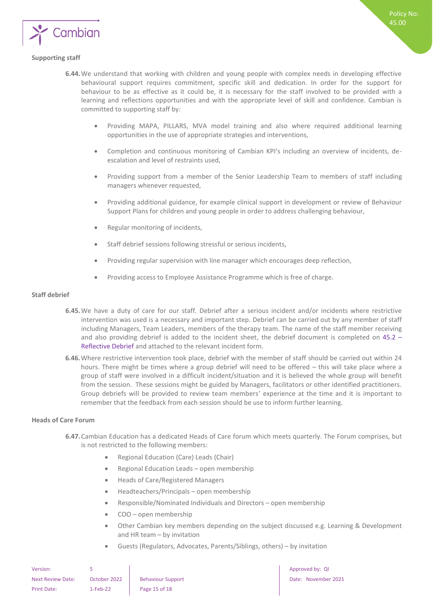

#### <span id="page-14-0"></span>**Supporting staff**

- **6.44.**We understand that working with children and young people with complex needs in developing effective behavioural support requires commitment, specific skill and dedication. In order for the support for behaviour to be as effective as it could be, it is necessary for the staff involved to be provided with a learning and reflections opportunities and with the appropriate level of skill and confidence. Cambian is committed to supporting staff by:
	- Providing MAPA, PILLARS, MVA model training and also where required additional learning opportunities in the use of appropriate strategies and interventions,
	- Completion and continuous monitoring of Cambian KPI's including an overview of incidents, deescalation and level of restraints used,
	- Providing support from a member of the Senior Leadership Team to members of staff including managers whenever requested,
	- Providing additional guidance, for example clinical support in development or review of Behaviour Support Plans for children and young people in order to address challenging behaviour,
	- Regular monitoring of incidents,
	- Staff debrief sessions following stressful or serious incidents,
	- Providing regular supervision with line manager which encourages deep reflection,
	- Providing access to Employee Assistance Programme which is free of charge.

#### <span id="page-14-1"></span>**Staff debrief**

- **6.45.**We have a duty of care for our staff. Debrief after a serious incident and/or incidents where restrictive intervention was used is a necessary and important step. Debrief can be carried out by any member of staff including Managers, Team Leaders, members of the therapy team. The name of the staff member receiving and also providing debrief is added to the incident sheet, the debrief document is completed on 45.2 -Reflective Debrief and attached to the relevant incident form.
- **6.46.**Where restrictive intervention took place, debrief with the member of staff should be carried out within 24 hours. There might be times where a group debrief will need to be offered – this will take place where a group of staff were involved in a difficult incident/situation and it is believed the whole group will benefit from the session. These sessions might be guided by Managers, facilitators or other identified practitioners. Group debriefs will be provided to review team members' experience at the time and it is important to remember that the feedback from each session should be use to inform further learning.

#### <span id="page-14-2"></span>**Heads of Care Forum**

- **6.47.**Cambian Education has a dedicated Heads of Care forum which meets quarterly. The Forum comprises, but is not restricted to the following members:
	- Regional Education (Care) Leads (Chair)
	- Regional Education Leads open membership
	- Heads of Care/Registered Managers
	- Headteachers/Principals open membership
	- Responsible/Nominated Individuals and Directors open membership
	- COO open membership
	- Other Cambian key members depending on the subject discussed e.g. Learning & Development and HR team – by invitation
	- Guests (Regulators, Advocates, Parents/Siblings, others) by invitation

| Version:                 |              |                          |
|--------------------------|--------------|--------------------------|
| <b>Next Review Date:</b> | October 2022 | <b>Behaviour Support</b> |
| Print Date:              | $1-Feb-22$   | Page 15 of 18            |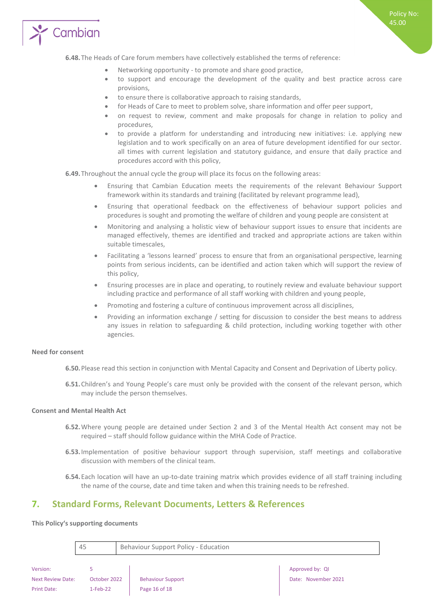

**6.48.**The Heads of Care forum members have collectively established the terms of reference:

- Networking opportunity to promote and share good practice,
- to support and encourage the development of the quality and best practice across care provisions,
- to ensure there is collaborative approach to raising standards,
- for Heads of Care to meet to problem solve, share information and offer peer support,
- on request to review, comment and make proposals for change in relation to policy and procedures,
- to provide a platform for understanding and introducing new initiatives: i.e. applying new legislation and to work specifically on an area of future development identified for our sector. all times with current legislation and statutory guidance, and ensure that daily practice and procedures accord with this policy,

**6.49.**Throughout the annual cycle the group will place its focus on the following areas:

- Ensuring that Cambian Education meets the requirements of the relevant Behaviour Support framework within its standards and training (facilitated by relevant programme lead),
- Ensuring that operational feedback on the effectiveness of behaviour support policies and procedures is sought and promoting the welfare of children and young people are consistent at
- Monitoring and analysing a holistic view of behaviour support issues to ensure that incidents are managed effectively, themes are identified and tracked and appropriate actions are taken within suitable timescales,
- Facilitating a 'lessons learned' process to ensure that from an organisational perspective, learning points from serious incidents, can be identified and action taken which will support the review of this policy,
- Ensuring processes are in place and operating, to routinely review and evaluate behaviour support including practice and performance of all staff working with children and young people,
- Promoting and fostering a culture of continuous improvement across all disciplines,
- Providing an information exchange / setting for discussion to consider the best means to address any issues in relation to safeguarding & child protection, including working together with other agencies.

#### <span id="page-15-0"></span>**Need for consent**

- **6.50.**Please read this section in conjunction with Mental Capacity and Consent and Deprivation of Liberty policy.
- **6.51.**Children's and Young People's care must only be provided with the consent of the relevant person, which may include the person themselves.

#### <span id="page-15-1"></span>**Consent and Mental Health Act**

- **6.52.**Where young people are detained under Section 2 and 3 of the Mental Health Act consent may not be required – staff should follow guidance within the MHA Code of Practice.
- **6.53.**Implementation of positive behaviour support through supervision, staff meetings and collaborative discussion with members of the clinical team.
- **6.54.**Each location will have an up-to-date training matrix which provides evidence of all staff training including the name of the course, date and time taken and when this training needs to be refreshed.

## <span id="page-15-2"></span>**7. Standard Forms, Relevant Documents, Letters & References**

#### <span id="page-15-3"></span>**This Policy's supporting documents**

Print Date: 1-Feb-22 Page 16 of 18

Version: 5 5 Approved by: QI Approved by: QI Approved by: QI Approved by: QI Approved by: QI Next Review Date: October 2022 Behaviour Support Next Review Date: November 2021 45 Behaviour Support Policy - Education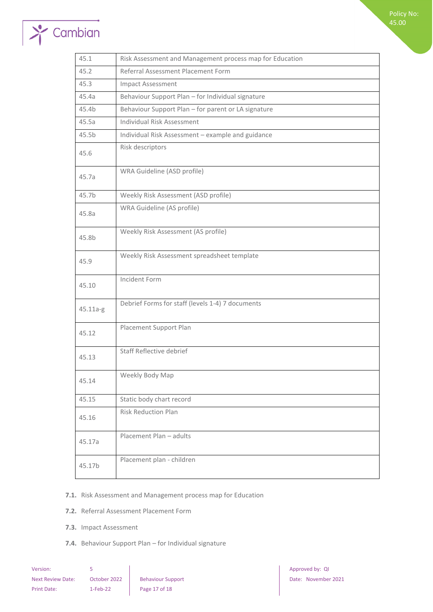# $\rightarrow$  Cambian

| 45.1     | Risk Assessment and Management process map for Education |
|----------|----------------------------------------------------------|
| 45.2     | Referral Assessment Placement Form                       |
| 45.3     | <b>Impact Assessment</b>                                 |
| 45.4a    | Behaviour Support Plan - for Individual signature        |
| 45.4b    | Behaviour Support Plan - for parent or LA signature      |
| 45.5a    | Individual Risk Assessment                               |
| 45.5b    | Individual Risk Assessment - example and guidance        |
| 45.6     | Risk descriptors                                         |
| 45.7a    | WRA Guideline (ASD profile)                              |
| 45.7b    | Weekly Risk Assessment (ASD profile)                     |
| 45.8a    | WRA Guideline (AS profile)                               |
| 45.8b    | Weekly Risk Assessment (AS profile)                      |
| 45.9     | Weekly Risk Assessment spreadsheet template              |
| 45.10    | Incident Form                                            |
| 45.11a-g | Debrief Forms for staff (levels 1-4) 7 documents         |
| 45.12    | Placement Support Plan                                   |
| 45.13    | Staff Reflective debrief                                 |
| 45.14    | Weekly Body Map                                          |
| 45.15    | Static body chart record                                 |
| 45.16    | <b>Risk Reduction Plan</b>                               |
| 45.17a   | Placement Plan - adults                                  |
| 45.17b   | Placement plan - children                                |

#### **7.1.** Risk Assessment and Management process map for Education

- **7.2.** Referral Assessment Placement Form
- **7.3.** Impact Assessment
- **7.4.** Behaviour Support Plan for Individual signature

| Version:                 |              |                      |
|--------------------------|--------------|----------------------|
| <b>Next Review Date:</b> | October 2022 | <b>Behaviour Sup</b> |
| <b>Print Date:</b>       | $1-Feb-22$   | Page 17 of 18        |

Version: 5 Approved by: QI Next Review Date: October 2021